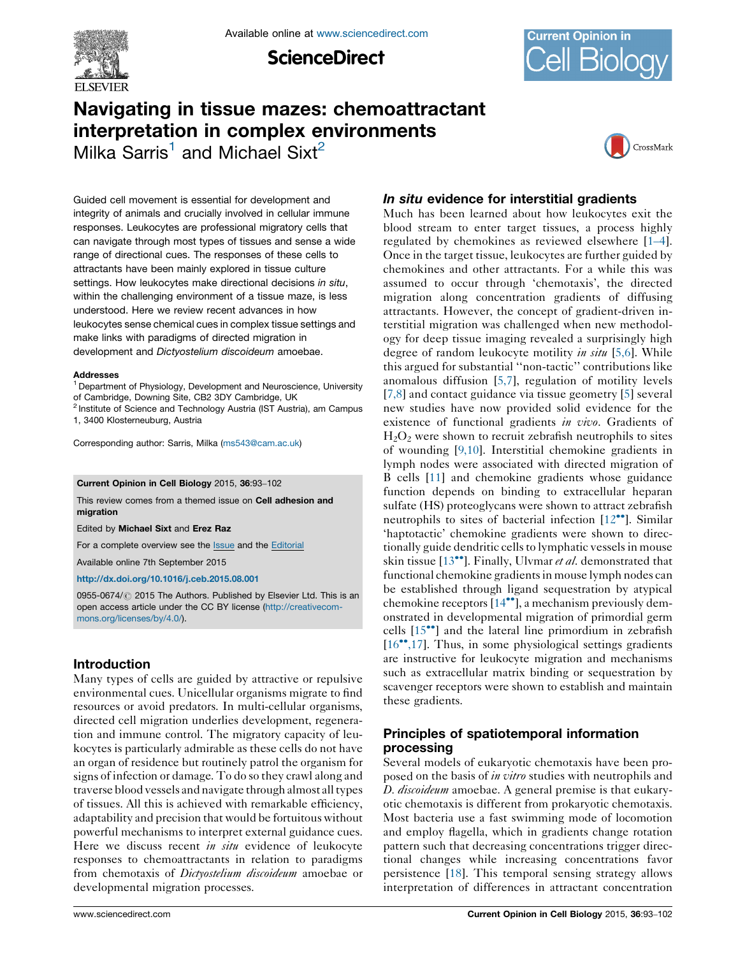

**ScienceDirect** 



# Navigating in tissue mazes: chemoattractant interpretation in complex environments

Milka Sarris<sup>1</sup> and Michael Sixt<sup>2</sup>



Guided cell movement is essential for development and integrity of animals and crucially involved in cellular immune responses. Leukocytes are professional migratory cells that can navigate through most types of tissues and sense a wide range of directional cues. The responses of these cells to attractants have been mainly explored in tissue culture settings. How leukocytes make directional decisions in situ, within the challenging environment of a tissue maze, is less understood. Here we review recent advances in how leukocytes sense chemical cues in complex tissue settings and make links with paradigms of directed migration in development and Dictyostelium discoideum amoebae.

#### Addresses

<sup>1</sup> Department of Physiology, Development and Neuroscience, University of Cambridge, Downing Site, CB2 3DY Cambridge, UK

<sup>2</sup> Institute of Science and Technology Austria (IST Austria), am Campus 1, 3400 Klosterneuburg, Austria

Corresponding author: Sarris, Milka [\(ms543@cam.ac.uk\)](mailto:ms543@cam.ac.uk)

#### Current Opinion in Cell Biology 2015, 36:93–102

This review comes from a themed issue on Cell adhesion and migration

Edited by Michael Sixt and Erez Raz

For a complete overview see the **[Issue](http://www.sciencedirect.com/science/journal/09550674/36)** and the [Editorial](http://dx.doi.org/10.1016/j.ceb.2015.09.004)

Available online 7th September 2015

<http://dx.doi.org/10.1016/j.ceb.2015.08.001>

0955-0674/ 2015 The Authors. Published by Elsevier Ltd. This is an open access article under the CC BY license [\(http://creativecom](http://creativecommons.org/licenses/by/4.0/)[mons.org/licenses/by/4.0/](http://creativecommons.org/licenses/by/4.0/)).

# Introduction

Many types of cells are guided by attractive or repulsive environmental cues. Unicellular organisms migrate to find resources or avoid predators. In multi-cellular organisms, directed cell migration underlies development, regeneration and immune control. The migratory capacity of leukocytes is particularly admirable as these cells do not have an organ of residence but routinely patrol the organism for signs of infection or damage. To do so they crawl along and traverse blood vessels and navigate through almost alltypes of tissues. All this is achieved with remarkable efficiency, adaptability and precision that would be fortuitous without powerful mechanisms to interpret external guidance cues. Here we discuss recent in situ evidence of leukocyte responses to chemoattractants in relation to paradigms from chemotaxis of Dictyostelium discoideum amoebae or developmental migration processes.

# In situ evidence for interstitial gradients

Much has been learned about how leukocytes exit the blood stream to enter target tissues, a process highly regulated by chemokines as reviewed elsewhere [1–[4\]](#page-7-0). Once in the target tissue, leukocytes are further guided by chemokines and other attractants. For a while this was assumed to occur through 'chemotaxis', the directed migration along concentration gradients of diffusing attractants. However, the concept of gradient-driven interstitial migration was challenged when new methodology for deep tissue imaging revealed a surprisingly high degree of random leukocyte motility *in situ* [\[5,6\]](#page-7-0). While this argued for substantial ''non-tactic'' contributions like anomalous diffusion [\[5,7\]](#page-7-0), regulation of motility levels [[7,8\]](#page-7-0) and contact guidance via tissue geometry [\[5](#page-7-0)] several new studies have now provided solid evidence for the existence of functional gradients in vivo. Gradients of  $H<sub>2</sub>O<sub>2</sub>$  were shown to recruit zebrafish neutrophils to sites of wounding [\[9,10\]](#page-7-0). Interstitial chemokine gradients in lymph nodes were associated with directed migration of B cells [\[11](#page-7-0)] and chemokine gradients whose guidance function depends on binding to extracellular heparan sulfate (HS) proteoglycans were shown to attract zebrafish neutrophils to sites of bacterial infection [[12](#page-7-0)<sup>••</sup>]. Similar 'haptotactic' chemokine gradients were shown to directionally guide dendritic cells to lymphatic vessels in mouse skin tissue  $[13^{\bullet\bullet}]$  $[13^{\bullet\bullet}]$  $[13^{\bullet\bullet}]$ . Finally, Ulvmar et al. demonstrated that functional chemokine gradients in mouse lymph nodes can be established through ligand sequestration by atypical chemokine receptors [\[14](#page-7-0)\*\*], a mechanism previously demonstrated in developmental migration of primordial germ cells [\[15](#page-7-0)<sup>\*</sup>] and the lateral line primordium in zebrafish [\[16](#page-7-0)\*[,17](#page-7-0)]. Thus, in some physiological settings gradients are instructive for leukocyte migration and mechanisms such as extracellular matrix binding or sequestration by scavenger receptors were shown to establish and maintain these gradients.

## Principles of spatiotemporal information processing

Several models of eukaryotic chemotaxis have been proposed on the basis of *in vitro* studies with neutrophils and D. *discoideum* amoebae. A general premise is that eukaryotic chemotaxis is different from prokaryotic chemotaxis. Most bacteria use a fast swimming mode of locomotion and employ flagella, which in gradients change rotation pattern such that decreasing concentrations trigger directional changes while increasing concentrations favor persistence [\[18](#page-7-0)]. This temporal sensing strategy allows interpretation of differences in attractant concentration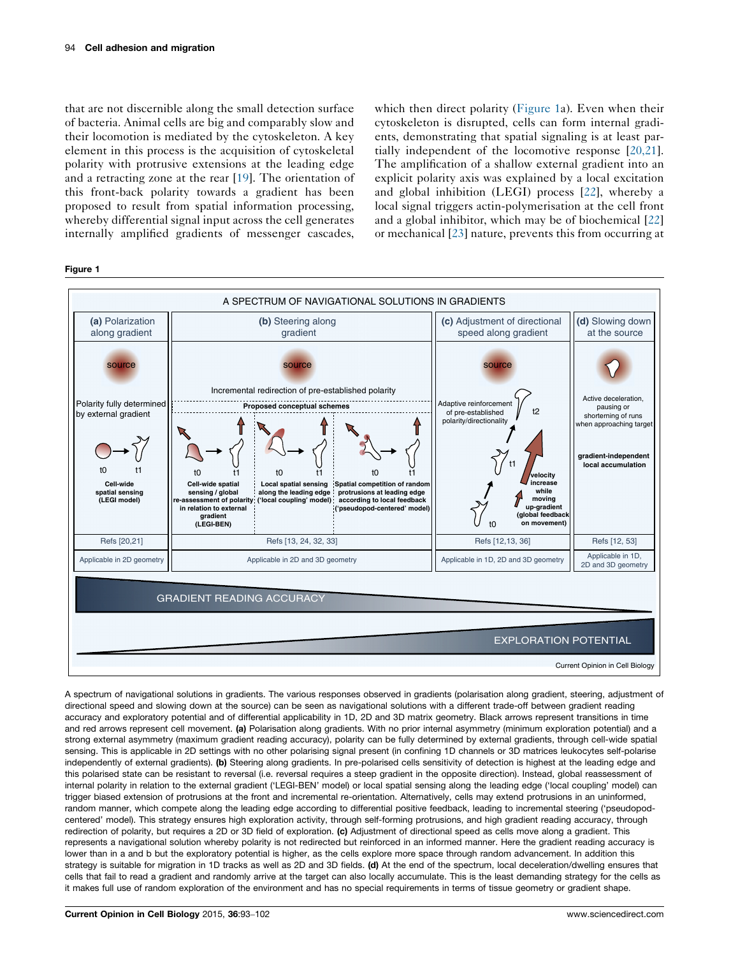<span id="page-1-0"></span>that are not discernible along the small detection surface of bacteria. Animal cells are big and comparably slow and their locomotion is mediated by the cytoskeleton. A key element in this process is the acquisition of cytoskeletal polarity with protrusive extensions at the leading edge and a retracting zone at the rear [[19\]](#page-7-0). The orientation of this front-back polarity towards a gradient has been proposed to result from spatial information processing, whereby differential signal input across the cell generates internally amplified gradients of messenger cascades, which then direct polarity (Figure 1a). Even when their cytoskeleton is disrupted, cells can form internal gradients, demonstrating that spatial signaling is at least partially independent of the locomotive response [\[20,21](#page-7-0)]. The amplification of a shallow external gradient into an explicit polarity axis was explained by a local excitation and global inhibition (LEGI) process [[22\]](#page-7-0), whereby a local signal triggers actin-polymerisation at the cell front and a global inhibitor, which may be of biochemical [\[22\]](#page-7-0) or mechanical [\[23](#page-7-0)] nature, prevents this from occurring at

#### Figure 1



A spectrum of navigational solutions in gradients. The various responses observed in gradients (polarisation along gradient, steering, adjustment of directional speed and slowing down at the source) can be seen as navigational solutions with a different trade-off between gradient reading accuracy and exploratory potential and of differential applicability in 1D, 2D and 3D matrix geometry. Black arrows represent transitions in time and red arrows represent cell movement. (a) Polarisation along gradients. With no prior internal asymmetry (minimum exploration potential) and a strong external asymmetry (maximum gradient reading accuracy), polarity can be fully determined by external gradients, through cell-wide spatial sensing. This is applicable in 2D settings with no other polarising signal present (in confining 1D channels or 3D matrices leukocytes self-polarise independently of external gradients). (b) Steering along gradients. In pre-polarised cells sensitivity of detection is highest at the leading edge and this polarised state can be resistant to reversal (i.e. reversal requires a steep gradient in the opposite direction). Instead, global reassessment of internal polarity in relation to the external gradient ('LEGI-BEN' model) or local spatial sensing along the leading edge ('local coupling' model) can trigger biased extension of protrusions at the front and incremental re-orientation. Alternatively, cells may extend protrusions in an uninformed, random manner, which compete along the leading edge according to differential positive feedback, leading to incremental steering ('pseudopodcentered' model). This strategy ensures high exploration activity, through self-forming protrusions, and high gradient reading accuracy, through redirection of polarity, but requires a 2D or 3D field of exploration. (c) Adjustment of directional speed as cells move along a gradient. This represents a navigational solution whereby polarity is not redirected but reinforced in an informed manner. Here the gradient reading accuracy is lower than in a and b but the exploratory potential is higher, as the cells explore more space through random advancement. In addition this strategy is suitable for migration in 1D tracks as well as 2D and 3D fields. (d) At the end of the spectrum, local deceleration/dwelling ensures that cells that fail to read a gradient and randomly arrive at the target can also locally accumulate. This is the least demanding strategy for the cells as it makes full use of random exploration of the environment and has no special requirements in terms of tissue geometry or gradient shape.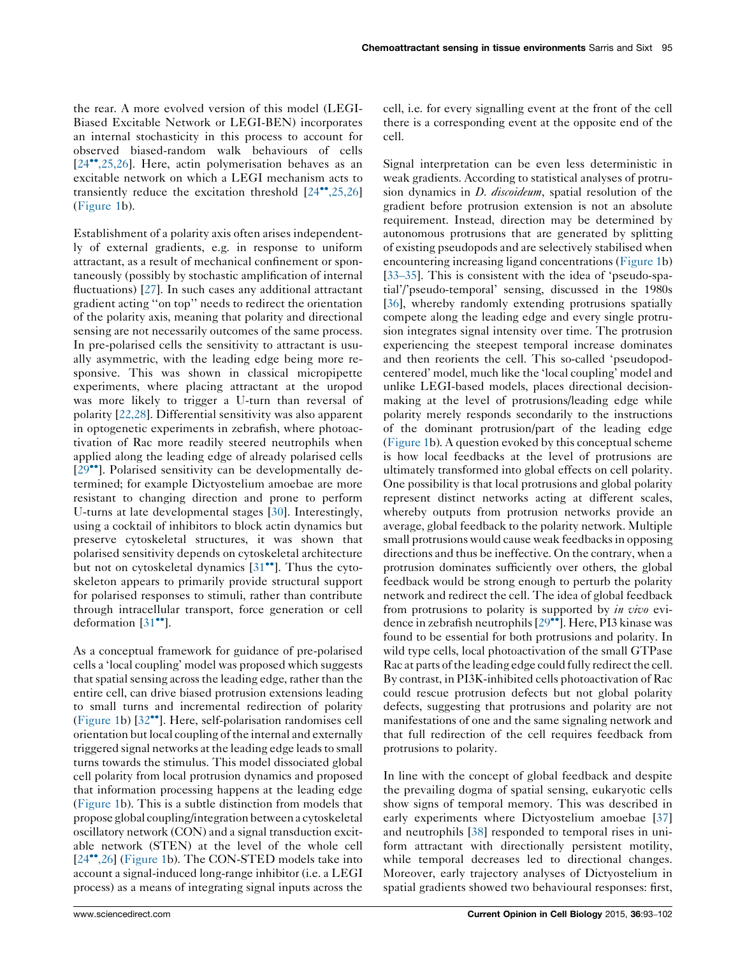the rear. A more evolved version of this model (LEGI-Biased Excitable Network or LEGI-BEN) incorporates an internal stochasticity in this process to account for observed biased-random walk behaviours of cells [\[24](#page-7-0)<sup>\*\*</sup>[,25,26\]](#page-7-0). Here, actin polymerisation behaves as an excitable network on which a LEGI mechanism acts to transiently reduce the excitation threshold  $[24^{\bullet\bullet}, 25, 26]$  $[24^{\bullet\bullet}, 25, 26]$ [\(Figure](#page-1-0) 1b).

Establishment of a polarity axis often arises independently of external gradients, e.g. in response to uniform attractant, as a result of mechanical confinement or spontaneously (possibly by stochastic amplification of internal fluctuations) [[27\]](#page-8-0). In such cases any additional attractant gradient acting ''on top'' needs to redirect the orientation of the polarity axis, meaning that polarity and directional sensing are not necessarily outcomes of the same process. In pre-polarised cells the sensitivity to attractant is usually asymmetric, with the leading edge being more responsive. This was shown in classical micropipette experiments, where placing attractant at the uropod was more likely to trigger a U-turn than reversal of polarity [[22,28](#page-7-0)]. Differential sensitivity was also apparent in optogenetic experiments in zebrafish, where photoactivation of Rac more readily steered neutrophils when applied along the leading edge of already polarised cells [\[29](#page-8-0)\*\*]. Polarised sensitivity can be developmentally determined; for example Dictyostelium amoebae are more resistant to changing direction and prone to perform U-turns at late developmental stages [\[30](#page-8-0)]. Interestingly, using a cocktail of inhibitors to block actin dynamics but preserve cytoskeletal structures, it was shown that polarised sensitivity depends on cytoskeletal architecture but not on cytoskeletal dynamics [\[31](#page-8-0)<sup>••</sup>]. Thus the cytoskeleton appears to primarily provide structural support for polarised responses to stimuli, rather than contribute through intracellular transport, force generation or cell deformation  $[31$ <sup>\*\*</sup>].

As a conceptual framework for guidance of pre-polarised cells a 'local coupling' model was proposed which suggests that spatial sensing across the leading edge, rather than the entire cell, can drive biased protrusion extensions leading to small turns and incremental redirection of polarity [\(Figure](#page-1-0) 1b) [[32](#page-8-0)<sup>••</sup>]. Here, self-polarisation randomises cell orientation but local coupling ofthe internal and externally triggered signal networks at the leading edge leadsto small turns towards the stimulus. This model dissociated global cell polarity from local protrusion dynamics and proposed that information processing happens at the leading edge [\(Figure](#page-1-0) 1b). This is a subtle distinction from models that propose global coupling/integration between a cytoskeletal oscillatory network (CON) and a signal transduction excitable network (STEN) at the level of the whole cell [\[24](#page-7-0)<sup>\*\*</sup>[,26\]](#page-7-0) [\(Figure](#page-1-0) 1b). The CON-STED models take into account a signal-induced long-range inhibitor (i.e. a LEGI process) as a means of integrating signal inputs across the cell, i.e. for every signalling event at the front of the cell there is a corresponding event at the opposite end of the cell.

Signal interpretation can be even less deterministic in weak gradients. According to statistical analyses of protrusion dynamics in *D. discoideum*, spatial resolution of the gradient before protrusion extension is not an absolute requirement. Instead, direction may be determined by autonomous protrusions that are generated by splitting of existing pseudopods and are selectively stabilised when encountering increasing ligand concentrations [\(Figure](#page-1-0) 1b) [\[33](#page-8-0)–35]. This is consistent with the idea of 'pseudo-spatial'/'pseudo-temporal' sensing, discussed in the 1980s [\[36](#page-8-0)], whereby randomly extending protrusions spatially compete along the leading edge and every single protrusion integrates signal intensity over time. The protrusion experiencing the steepest temporal increase dominates and then reorients the cell. This so-called 'pseudopodcentered' model, much like the 'local coupling' model and unlike LEGI-based models, places directional decisionmaking at the level of protrusions/leading edge while polarity merely responds secondarily to the instructions of the dominant protrusion/part of the leading edge [\(Figure](#page-1-0) 1b). A question evoked by this conceptual scheme is how local feedbacks at the level of protrusions are ultimately transformed into global effects on cell polarity. One possibility is that local protrusions and global polarity represent distinct networks acting at different scales, whereby outputs from protrusion networks provide an average, global feedback to the polarity network. Multiple small protrusions would cause weak feedbacks in opposing directions and thus be ineffective. On the contrary, when a protrusion dominates sufficiently over others, the global feedback would be strong enough to perturb the polarity network and redirect the cell. The idea of global feedback from protrusions to polarity is supported by in vivo evi-dence in zebrafish neutrophils [\[29](#page-8-0)<sup>••</sup>]. Here, PI3 kinase was found to be essential for both protrusions and polarity. In wild type cells, local photoactivation of the small GTPase Rac at parts of the leading edge could fully redirect the cell. By contrast, in PI3K-inhibited cells photoactivation of Rac could rescue protrusion defects but not global polarity defects, suggesting that protrusions and polarity are not manifestations of one and the same signaling network and that full redirection of the cell requires feedback from protrusions to polarity.

In line with the concept of global feedback and despite the prevailing dogma of spatial sensing, eukaryotic cells show signs of temporal memory. This was described in early experiments where Dictyostelium amoebae [\[37](#page-8-0)] and neutrophils [[38](#page-8-0)] responded to temporal rises in uniform attractant with directionally persistent motility, while temporal decreases led to directional changes. Moreover, early trajectory analyses of Dictyostelium in spatial gradients showed two behavioural responses: first,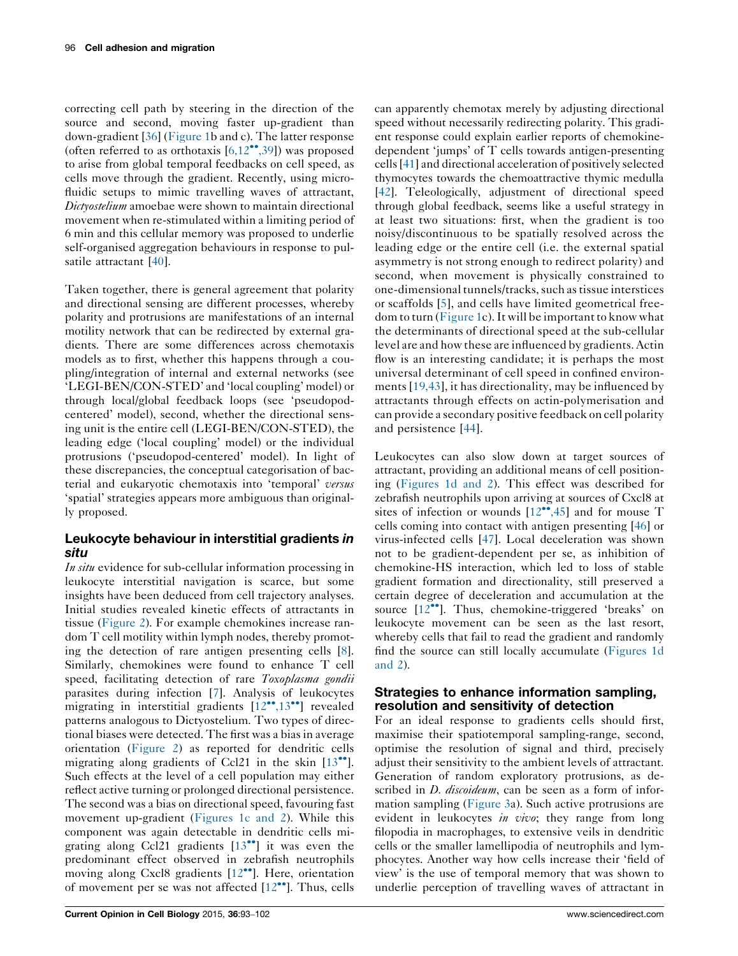correcting cell path by steering in the direction of the source and second, moving faster up-gradient than down-gradient [[36\]](#page-8-0) [\(Figure](#page-1-0) 1b and c). The latter response (often referred to as orthotaxis  $[6,12^{\bullet\bullet},39]$  $[6,12^{\bullet\bullet},39]$  $[6,12^{\bullet\bullet},39]$  $[6,12^{\bullet\bullet},39]$  $[6,12^{\bullet\bullet},39]$ ) was proposed to arise from global temporal feedbacks on cell speed, as cells move through the gradient. Recently, using microfluidic setups to mimic travelling waves of attractant, Dictyostelium amoebae were shown to maintain directional movement when re-stimulated within a limiting period of 6 min and this cellular memory was proposed to underlie self-organised aggregation behaviours in response to pulsatile attractant [\[40](#page-8-0)].

Taken together, there is general agreement that polarity and directional sensing are different processes, whereby polarity and protrusions are manifestations of an internal motility network that can be redirected by external gradients. There are some differences across chemotaxis models as to first, whether this happens through a coupling/integration of internal and external networks (see 'LEGI-BEN/CON-STED' and 'local coupling' model) or through local/global feedback loops (see 'pseudopodcentered' model), second, whether the directional sensing unit is the entire cell (LEGI-BEN/CON-STED), the leading edge ('local coupling' model) or the individual protrusions ('pseudopod-centered' model). In light of these discrepancies, the conceptual categorisation of bacterial and eukaryotic chemotaxis into 'temporal' versus 'spatial' strategies appears more ambiguous than originally proposed.

## Leukocyte behaviour in interstitial gradients in situ

In situ evidence for sub-cellular information processing in leukocyte interstitial navigation is scarce, but some insights have been deduced from cell trajectory analyses. Initial studies revealed kinetic effects of attractants in tissue [\(Figure](#page-4-0) 2). For example chemokines increase random T cell motility within lymph nodes, thereby promoting the detection of rare antigen presenting cells [\[8](#page-7-0)]. Similarly, chemokines were found to enhance T cell speed, facilitating detection of rare Toxoplasma gondii parasites during infection [[7\]](#page-7-0). Analysis of leukocytes migrating in interstitial gradients [\[12](#page-7-0)\*[,13](#page-7-0)\*\*] revealed patterns analogous to Dictyostelium. Two types of directional biases were detected. The first was a bias in average orientation [\(Figure](#page-4-0) 2) as reported for dendritic cells migrating along gradients of Ccl21 in the skin  $[13^{\bullet\bullet}]$  $[13^{\bullet\bullet}]$  $[13^{\bullet\bullet}]$ . Such effects at the level of a cell population may either reflect active turning or prolonged directional persistence. The second was a bias on directional speed, favouring fast movement up-gradient [\(Figures](#page-1-0) 1c and 2). While this component was again detectable in dendritic cells migrating along Ccl21 gradients  $[13^{**}]$  $[13^{**}]$  $[13^{**}]$  it was even the predominant effect observed in zebrafish neutrophils moving along Cxcl8 gradients [[12](#page-7-0)\*\*]. Here, orientation of movement per se was not affected  $[12^{\bullet\bullet}]$  $[12^{\bullet\bullet}]$ . Thus, cells

can apparently chemotax merely by adjusting directional speed without necessarily redirecting polarity. This gradient response could explain earlier reports of chemokinedependent 'jumps' of T cells towards antigen-presenting cells[[41\]](#page-8-0) and directional acceleration of positively selected thymocytes towards the chemoattractive thymic medulla [\[42](#page-8-0)]. Teleologically, adjustment of directional speed through global feedback, seems like a useful strategy in at least two situations: first, when the gradient is too noisy/discontinuous to be spatially resolved across the leading edge or the entire cell (i.e. the external spatial asymmetry is not strong enough to redirect polarity) and second, when movement is physically constrained to one-dimensional tunnels/tracks, such as tissue interstices or scaffolds [[5](#page-7-0)], and cells have limited geometrical free-dom to turn ([Figure](#page-1-0) 1c). It will be important to know what the determinants of directional speed at the sub-cellular level are and how these are influenced by gradients.Actin flow is an interesting candidate; it is perhaps the most universal determinant of cell speed in confined environments [[19,43\]](#page-7-0), it has directionality, may be influenced by attractants through effects on actin-polymerisation and can provide a secondary positive feedback on cell polarity and persistence [[44](#page-8-0)].

Leukocytes can also slow down at target sources of attractant, providing an additional means of cell positioning [\(Figures](#page-1-0) 1d and 2). This effect was described for zebrafish neutrophils upon arriving at sources of Cxcl8 at sites of infection or wounds  $[12^{\bullet\bullet}, 45]$  $[12^{\bullet\bullet}, 45]$  $[12^{\bullet\bullet}, 45]$  and for mouse T cells coming into contact with antigen presenting [[46\]](#page-8-0) or virus-infected cells [\[47](#page-8-0)]. Local deceleration was shown not to be gradient-dependent per se, as inhibition of chemokine-HS interaction, which led to loss of stable gradient formation and directionality, still preserved a certain degree of deceleration and accumulation at the source [\[12](#page-7-0)<sup>\*</sup>]. Thus, chemokine-triggered 'breaks' on leukocyte movement can be seen as the last resort, whereby cells that fail to read the gradient and randomly find the source can still locally accumulate ([Figures](#page-1-0) 1d [and](#page-1-0) 2).

## Strategies to enhance information sampling, resolution and sensitivity of detection

For an ideal response to gradients cells should first, maximise their spatiotemporal sampling-range, second, optimise the resolution of signal and third, precisely adjust their sensitivity to the ambient levels of attractant. Generation of random exploratory protrusions, as described in *D. discoideum*, can be seen as a form of information sampling ([Figure](#page-5-0) 3a). Such active protrusions are evident in leukocytes in vivo; they range from long filopodia in macrophages, to extensive veils in dendritic cells or the smaller lamellipodia of neutrophils and lymphocytes. Another way how cells increase their 'field of view' is the use of temporal memory that was shown to underlie perception of travelling waves of attractant in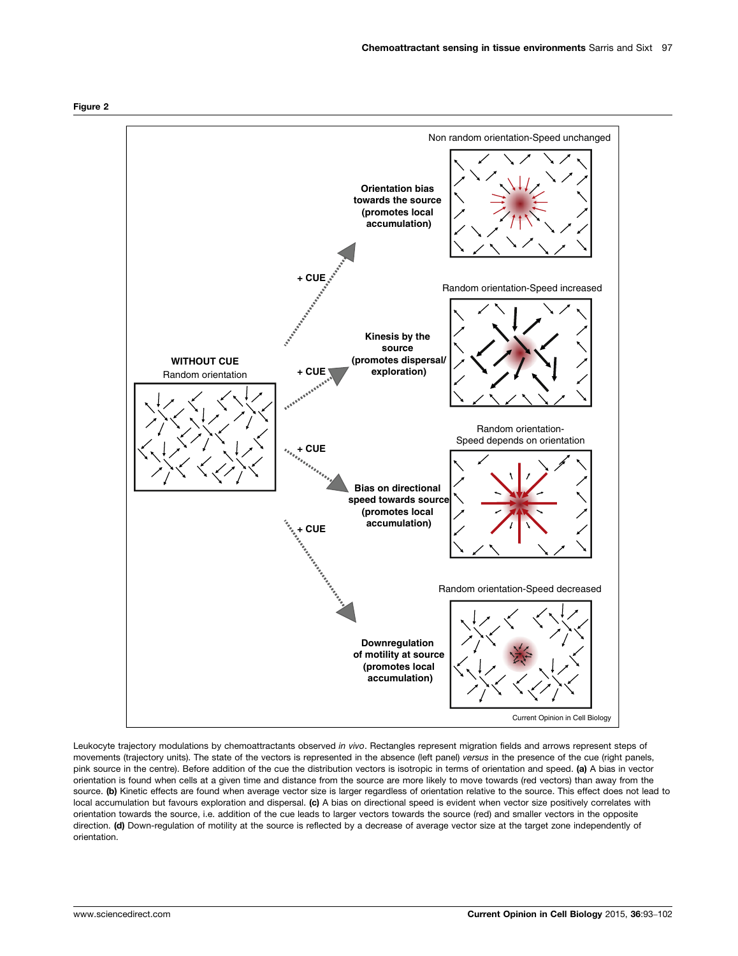<span id="page-4-0"></span>



Leukocyte trajectory modulations by chemoattractants observed in vivo. Rectangles represent migration fields and arrows represent steps of movements (trajectory units). The state of the vectors is represented in the absence (left panel) versus in the presence of the cue (right panels, pink source in the centre). Before addition of the cue the distribution vectors is isotropic in terms of orientation and speed. (a) A bias in vector orientation is found when cells at a given time and distance from the source are more likely to move towards (red vectors) than away from the source. (b) Kinetic effects are found when average vector size is larger regardless of orientation relative to the source. This effect does not lead to local accumulation but favours exploration and dispersal. (c) A bias on directional speed is evident when vector size positively correlates with orientation towards the source, i.e. addition of the cue leads to larger vectors towards the source (red) and smaller vectors in the opposite direction. (d) Down-regulation of motility at the source is reflected by a decrease of average vector size at the target zone independently of orientation.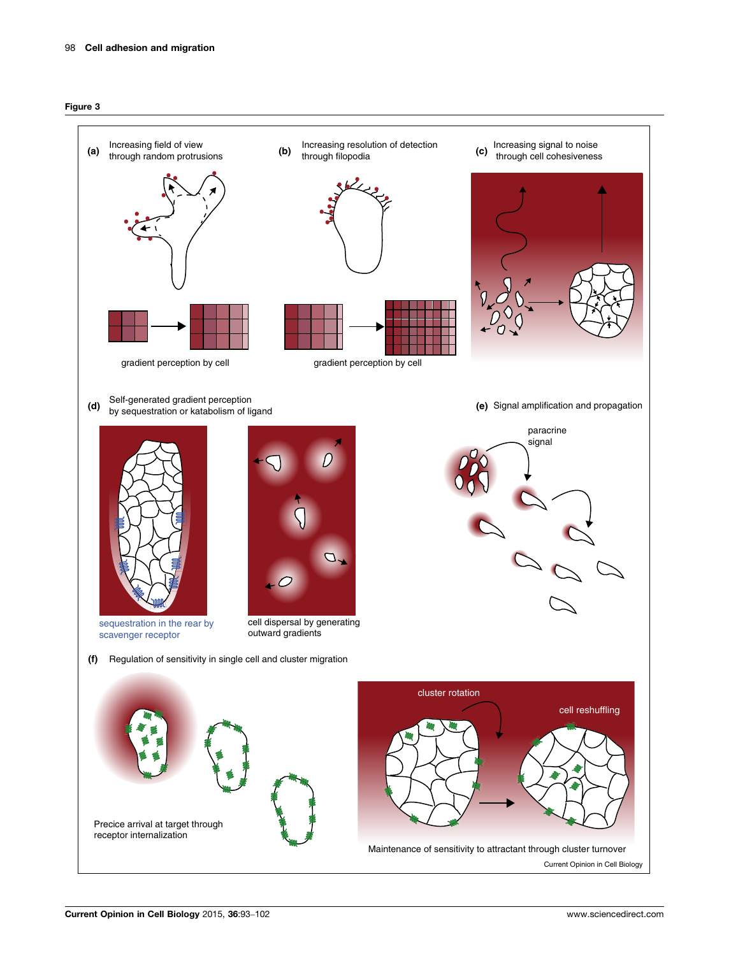<span id="page-5-0"></span>

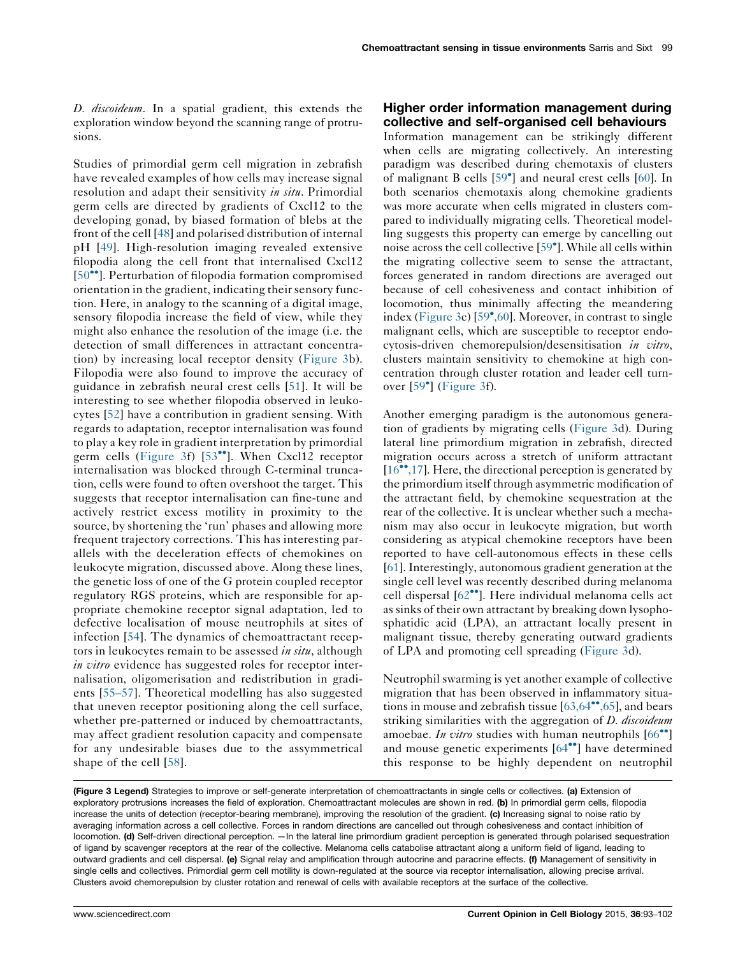D. discoideum. In a spatial gradient, this extends the exploration window beyond the scanning range of protrusions.

Studies of primordial germ cell migration in zebrafish have revealed examples of how cells may increase signal resolution and adapt their sensitivity in situ. Primordial germ cells are directed by gradients of Cxcl12 to the developing gonad, by biased formation of blebs at the front of the cell [[48](#page-8-0)] and polarised distribution of internal pH [\[49\]](#page-8-0). High-resolution imaging revealed extensive filopodia along the cell front that internalised Cxcl12 [\[50](#page-8-0)<sup>••</sup>]. Perturbation of filopodia formation compromised orientation in the gradient, indicating their sensory function. Here, in analogy to the scanning of a digital image, sensory filopodia increase the field of view, while they might also enhance the resolution of the image (i.e. the detection of small differences in attractant concentration) by increasing local receptor density ([Figure](#page-5-0) 3b). Filopodia were also found to improve the accuracy of guidance in zebrafish neural crest cells [[51](#page-8-0)]. It will be interesting to see whether filopodia observed in leukocytes [\[52](#page-8-0)] have a contribution in gradient sensing. With regards to adaptation, receptor internalisation was found to play a key role in gradient interpretation by primordial germ cells ([Figure](#page-5-0) 3f) [[53](#page-8-0)<sup>\*</sup>]. When Cxcl12 receptor internalisation was blocked through C-terminal truncation, cells were found to often overshoot the target. This suggests that receptor internalisation can fine-tune and actively restrict excess motility in proximity to the source, by shortening the 'run' phases and allowing more frequent trajectory corrections. This has interesting parallels with the deceleration effects of chemokines on leukocyte migration, discussed above. Along these lines, the genetic loss of one of the G protein coupled receptor regulatory RGS proteins, which are responsible for appropriate chemokine receptor signal adaptation, led to defective localisation of mouse neutrophils at sites of infection [[54](#page-8-0)]. The dynamics of chemoattractant receptors in leukocytes remain to be assessed in situ, although in vitro evidence has suggested roles for receptor internalisation, oligomerisation and redistribution in gradients [55–[57](#page-8-0)]. Theoretical modelling has also suggested that uneven receptor positioning along the cell surface, whether pre-patterned or induced by chemoattractants, may affect gradient resolution capacity and compensate for any undesirable biases due to the assymmetrical shape of the cell [\[58](#page-8-0)].

## Higher order information management during collective and self-organised cell behaviours

Information management can be strikingly different when cells are migrating collectively. An interesting paradigm was described during chemotaxis of clusters of malignant B cells [\[59](#page-9-0)<sup>°</sup>] and neural crest cells [[60\]](#page-9-0). In both scenarios chemotaxis along chemokine gradients was more accurate when cells migrated in clusters compared to individually migrating cells. Theoretical modelling suggests this property can emerge by cancelling out noise across the cell collective [[59](#page-9-0)- ]. While all cells within the migrating collective seem to sense the attractant, forces generated in random directions are averaged out because of cell cohesiveness and contact inhibition of locomotion, thus minimally affecting the meandering index ([Figure](#page-5-0) 3c) [[59](#page-9-0)[,60\]](#page-9-0). Moreover, in contrast to single malignant cells, which are susceptible to receptor endocytosis-driven chemorepulsion/desensitisation in vitro, clusters maintain sensitivity to chemokine at high concentration through cluster rotation and leader cell turn-over [\[59](#page-9-0)<sup>°</sup>] ([Figure](#page-5-0) 3f).

Another emerging paradigm is the autonomous generation of gradients by migrating cells [\(Figure](#page-5-0) 3d). During lateral line primordium migration in zebrafish, directed migration occurs across a stretch of uniform attractant [[16](#page-7-0)<sup>\*\*</sup>[,17](#page-7-0)]. Here, the directional perception is generated by the primordium itself through asymmetric modification of the attractant field, by chemokine sequestration at the rear of the collective. It is unclear whether such a mechanism may also occur in leukocyte migration, but worth considering as atypical chemokine receptors have been reported to have cell-autonomous effects in these cells [[61](#page-9-0)].Interestingly, autonomous gradient generation at the single cell level was recently described during melanoma cell dispersal [[62](#page-9-0)<sup>••</sup>]. Here individual melanoma cells act as sinks of their own attractant by breaking down lysophosphatidic acid (LPA), an attractant locally present in malignant tissue, thereby generating outward gradients of LPA and promoting cell spreading [\(Figure](#page-5-0) 3d).

Neutrophil swarming is yet another example of collective migration that has been observed in inflammatory situations in mouse and zebrafish tissue  $[63, 64^{\bullet\bullet}, 65]$ , and bears striking similarities with the aggregation of *D. discoideum* amoebae. In vitro studies with human neutrophils  $[66$  $[66$ <sup>\*</sup>] and mouse genetic experiments [[64](#page-9-0)<sup>••</sup>] have determined this response to be highly dependent on neutrophil

(Figure 3 Legend) Strategies to improve or self-generate interpretation of chemoattractants in single cells or collectives. (a) Extension of exploratory protrusions increases the field of exploration. Chemoattractant molecules are shown in red. (b) In primordial germ cells, filopodia increase the units of detection (receptor-bearing membrane), improving the resolution of the gradient. (c) Increasing signal to noise ratio by averaging information across a cell collective. Forces in random directions are cancelled out through cohesiveness and contact inhibition of locomotion. (d) Self-driven directional perception. —In the lateral line primordium gradient perception is generated through polarised sequestration of ligand by scavenger receptors at the rear of the collective. Melanoma cells catabolise attractant along a uniform field of ligand, leading to outward gradients and cell dispersal. (e) Signal relay and amplification through autocrine and paracrine effects. (f) Management of sensitivity in single cells and collectives. Primordial germ cell motility is down-regulated at the source via receptor internalisation, allowing precise arrival. Clusters avoid chemorepulsion by cluster rotation and renewal of cells with available receptors at the surface of the collective.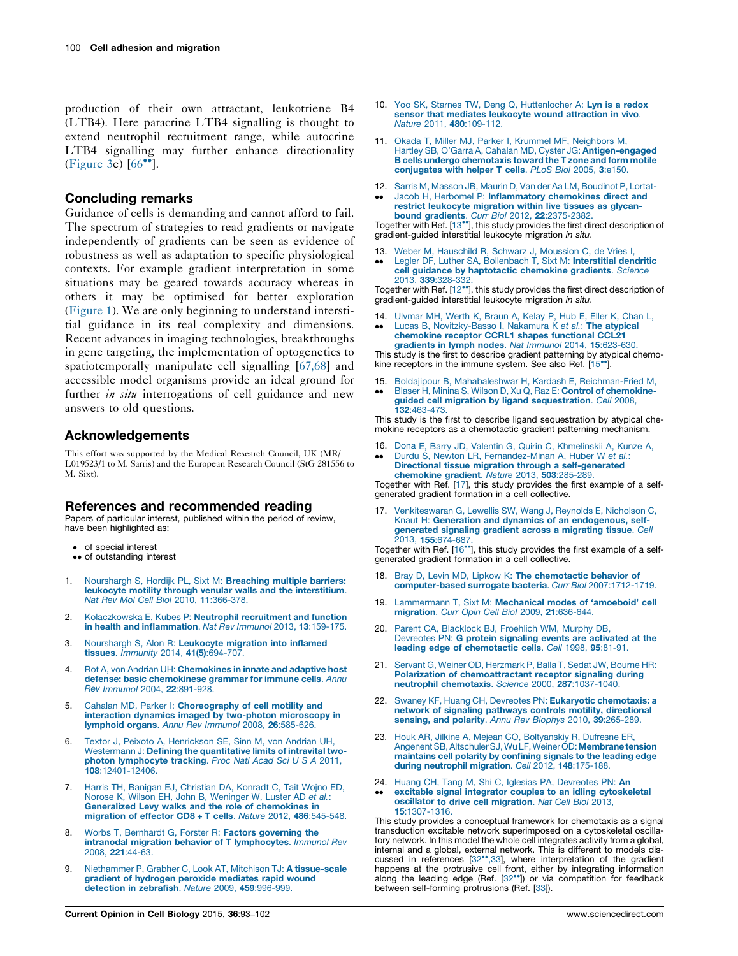<span id="page-7-0"></span>production of their own attractant, leukotriene B4 (LTB4). Here paracrine LTB4 signalling is thought to extend neutrophil recruitment range, while autocrine LTB4 signalling may further enhance directionality [\(Figure](#page-5-0) 3e) [[66](#page-9-0)<sup>••</sup>].

#### Concluding remarks

Guidance of cells is demanding and cannot afford to fail. The spectrum of strategies to read gradients or navigate independently of gradients can be seen as evidence of robustness as well as adaptation to specific physiological contexts. For example gradient interpretation in some situations may be geared towards accuracy whereas in others it may be optimised for better exploration [\(Figure](#page-1-0) 1). We are only beginning to understand interstitial guidance in its real complexity and dimensions. Recent advances in imaging technologies, breakthroughs in gene targeting, the implementation of optogenetics to spatiotemporally manipulate cell signalling [\[67,68\]](#page-9-0) and accessible model organisms provide an ideal ground for further in situ interrogations of cell guidance and new answers to old questions.

#### Acknowledgements

This effort was supported by the Medical Research Council, UK (MR/ L019523/1 to M. Sarris) and the European Research Council (StG 281556 to M. Sixt).

#### References and recommended reading

Papers of particular interest, published within the period of review, have been highlighted as:

- of special interest
- of special interest<br>•• of outstanding interest
- 1. [Nourshargh](http://refhub.elsevier.com/S0955-0674(15)00106-4/sbref0345) S, Hordijk PL, Sixt M: Breaching multiple barriers: leukocyte motility through venular walls and the [interstitium](http://refhub.elsevier.com/S0955-0674(15)00106-4/sbref0345). Nat Rev Mol Cell Biol 2010, 11[:366-378.](http://refhub.elsevier.com/S0955-0674(15)00106-4/sbref0345)
- 2. [Kolaczkowska](http://refhub.elsevier.com/S0955-0674(15)00106-4/sbref0350) E, Kubes P: Neutrophil recruitment and function in health and [inflammation](http://refhub.elsevier.com/S0955-0674(15)00106-4/sbref0350). Nat Rev Immunol 2013, 13:159-175.
- 3. [Nourshargh](http://refhub.elsevier.com/S0955-0674(15)00106-4/sbref0355) S, Alon R: Leukocyte migration into inflamed tissues. Immunity 2014, 41(5)[:694-707.](http://refhub.elsevier.com/S0955-0674(15)00106-4/sbref0355)
- 4. Rot A, von Andrian UH: [Chemokines](http://refhub.elsevier.com/S0955-0674(15)00106-4/sbref0360) in innate and adaptive host defense: basic [chemokinese](http://refhub.elsevier.com/S0955-0674(15)00106-4/sbref0360) grammar for immune cells. Annu Rev Immunol 2004, 22[:891-928.](http://refhub.elsevier.com/S0955-0674(15)00106-4/sbref0360)
- 5. Cahalan MD, Parker I: [Choreography](http://refhub.elsevier.com/S0955-0674(15)00106-4/sbref0365) of cell motility and interaction dynamics imaged by two-photon [microscopy](http://refhub.elsevier.com/S0955-0674(15)00106-4/sbref0365) in [lymphoid](http://refhub.elsevier.com/S0955-0674(15)00106-4/sbref0365) organs. Annu Rev Immunol 2008, 26:585-626.
- 6. Textor J, Peixoto A, [Henrickson](http://refhub.elsevier.com/S0955-0674(15)00106-4/sbref0370) SE, Sinn M, von Andrian UH, [Westermann](http://refhub.elsevier.com/S0955-0674(15)00106-4/sbref0370) J: Defining the quantitative limits of intravital twophoton [lymphocyte](http://refhub.elsevier.com/S0955-0674(15)00106-4/sbref0370) tracking. Proc Natl Acad Sci U S A 2011, 108[:12401-12406.](http://refhub.elsevier.com/S0955-0674(15)00106-4/sbref0370)
- 7. Harris TH, Banigan EJ, [Christian](http://refhub.elsevier.com/S0955-0674(15)00106-4/sbref0375) DA, Konradt C, Tait Wojno ED, Norose K, Wilson EH, John B, [Weninger](http://refhub.elsevier.com/S0955-0674(15)00106-4/sbref0375) W, Luster AD et al.: Generalized Levy walks and the role of [chemokines](http://refhub.elsevier.com/S0955-0674(15)00106-4/sbref0375) in [migration](http://refhub.elsevier.com/S0955-0674(15)00106-4/sbref0375) of effector CD8 + T cells. Nature 2012, 486:545-548.
- 8. Worbs T, Bernhardt G, Forster R: Factors [governing](http://refhub.elsevier.com/S0955-0674(15)00106-4/sbref0380) the intranodal migration behavior of T [lymphocytes](http://refhub.elsevier.com/S0955-0674(15)00106-4/sbref0380). Immunol Rev 2008, 221[:44-63.](http://refhub.elsevier.com/S0955-0674(15)00106-4/sbref0380)
- 9. Niethammer P, Grabher C, Look AT, Mitchison TJ: A [tissue-scale](http://refhub.elsevier.com/S0955-0674(15)00106-4/sbref0385) gradient of [hydrogen](http://refhub.elsevier.com/S0955-0674(15)00106-4/sbref0385) peroxide mediates rapid wound [detection](http://refhub.elsevier.com/S0955-0674(15)00106-4/sbref0385) in zebrafish. Nature 2009, 459:996-999.
- 10. Yoo SK, Starnes TW, Deng Q, [Huttenlocher](http://refhub.elsevier.com/S0955-0674(15)00106-4/sbref0390) A: Lyn is a redox sensor that mediates [leukocyte](http://refhub.elsevier.com/S0955-0674(15)00106-4/sbref0390) wound attraction in vivo. Nature 2011, 480[:109-112.](http://refhub.elsevier.com/S0955-0674(15)00106-4/sbref0390)
- 11. Okada T, Miller MJ, Parker I, Krummel MF, [Neighbors](http://refhub.elsevier.com/S0955-0674(15)00106-4/sbref0395) M, Hartley SB, O'Garra A, Cahalan MD, Cyster JG: [Antigen-engaged](http://refhub.elsevier.com/S0955-0674(15)00106-4/sbref0395) B cells undergo [chemotaxis](http://refhub.elsevier.com/S0955-0674(15)00106-4/sbref0395) toward the T zone and form motile [conjugates](http://refhub.elsevier.com/S0955-0674(15)00106-4/sbref0395) with helper T cells. PLoS Biol 2005, 3:e150.
- 12. Sarris M, Masson JB, Maurin D, Van der Aa LM, [Boudinot](http://refhub.elsevier.com/S0955-0674(15)00106-4/sbref0400) P, Lortat-
- --Jacob H, Herbomel P: [Inflammatory](http://refhub.elsevier.com/S0955-0674(15)00106-4/sbref0400) chemokines direct and restrict [leukocyte](http://refhub.elsevier.com/S0955-0674(15)00106-4/sbref0400) migration within live tissues as glycanbound gradients. Curr Biol 2012, 22[:2375-2382.](http://refhub.elsevier.com/S0955-0674(15)00106-4/sbref0400)

Together with Ref. [13<sup>\*</sup>], this study provides the first direct description of gradient-guided interstitial leukocyte migration in situ.

- 13. Weber M, [Hauschild](http://refhub.elsevier.com/S0955-0674(15)00106-4/sbref0405) R, Schwarz J, Moussion C, de Vries I,
- --Legler DF, Luther SA, [Bollenbach](http://refhub.elsevier.com/S0955-0674(15)00106-4/sbref0405) T, Sixt M: Interstitial dendritic cell guidance by [haptotactic](http://refhub.elsevier.com/S0955-0674(15)00106-4/sbref0405) chemokine gradients. Science 2013, 339[:328-332.](http://refhub.elsevier.com/S0955-0674(15)00106-4/sbref0405)

Together with Ref. [12<sup>••</sup>], this study provides the first direct description of gradient-guided interstitial leukocyte migration in situ.

14. [Ulvmar](http://refhub.elsevier.com/S0955-0674(15)00106-4/sbref0410) MH, Werth K, Braun A, Kelay P, Hub E, Eller K, Chan L, --Lucas B, [Novitzky-Basso](http://refhub.elsevier.com/S0955-0674(15)00106-4/sbref0410) I, Nakamura K et al.: The atypical [chemokine](http://refhub.elsevier.com/S0955-0674(15)00106-4/sbref0410) receptor CCRL1 shapes functional CCL21 [gradients](http://refhub.elsevier.com/S0955-0674(15)00106-4/sbref0410) in lymph nodes. Nat Immunol 2014, 15:623-630.

This study is the first to describe gradient patterning by atypical chemokine receptors in the immune system. See also Ref. [15\*].

15. Boldajipour B, Mahabaleshwar H, Kardash E, [Reichman-Fried](http://refhub.elsevier.com/S0955-0674(15)00106-4/sbref0415) M, --Blaser H, Minina S, Wilson D, Xu Q, Raz E: Control of [chemokine](http://refhub.elsevier.com/S0955-0674(15)00106-4/sbref0415)guided cell migration by ligand [sequestration](http://refhub.elsevier.com/S0955-0674(15)00106-4/sbref0415). Cell 2008, 132[:463-473.](http://refhub.elsevier.com/S0955-0674(15)00106-4/sbref0415)

This study is the first to describe ligand sequestration by atypical chemokine receptors as a chemotactic gradient patterning mechanism.

16. Dona E, Barry JD, Valentin G, Quirin C, [Khmelinskii](http://refhub.elsevier.com/S0955-0674(15)00106-4/sbref0420) A, Kunze A,  $\bullet$ Durdu S, Newton LR, [Fernandez-Minan](http://refhub.elsevier.com/S0955-0674(15)00106-4/sbref0420) A, Huber W et al.: Directional tissue migration through a [self-generated](http://refhub.elsevier.com/S0955-0674(15)00106-4/sbref0420) [chemokine](http://refhub.elsevier.com/S0955-0674(15)00106-4/sbref0420) gradient. Nature 2013, 503:285-289.

Together with Ref. [17], this study provides the first example of a selfgenerated gradient formation in a cell collective.

17. [Venkiteswaran](http://refhub.elsevier.com/S0955-0674(15)00106-4/sbref0425) G, Lewellis SW, Wang J, Reynolds E, Nicholson C, Knaut H: Generation and dynamics of an [endogenous,](http://refhub.elsevier.com/S0955-0674(15)00106-4/sbref0425) self[generated](http://refhub.elsevier.com/S0955-0674(15)00106-4/sbref0425) signaling gradient across a migrating tissue. Cell 2013, 155[:674-687.](http://refhub.elsevier.com/S0955-0674(15)00106-4/sbref0425)

Together with Ref. [16<sup>\*</sup>], this study provides the first example of a selfgenerated gradient formation in a cell collective.

- 18. Bray D, Levin MD, Lipkow K: The [chemotactic](http://refhub.elsevier.com/S0955-0674(15)00106-4/sbref0430) behavior of [computer-based](http://refhub.elsevier.com/S0955-0674(15)00106-4/sbref0430) surrogate bacteria. Curr Biol 2007:1712-1719.
- 19. [Lammermann](http://refhub.elsevier.com/S0955-0674(15)00106-4/sbref0435) T, Sixt M: Mechanical modes of 'amoeboid' cell [migration](http://refhub.elsevier.com/S0955-0674(15)00106-4/sbref0435). Curr Opin Cell Biol 2009, 21:636-644.
- 20. Parent CA, [Blacklock](http://refhub.elsevier.com/S0955-0674(15)00106-4/sbref0440) BJ, Froehlich WM, Murphy DB, [Devreotes](http://refhub.elsevier.com/S0955-0674(15)00106-4/sbref0440) PN: G protein signaling events are activated at the leading edge of [chemotactic](http://refhub.elsevier.com/S0955-0674(15)00106-4/sbref0440) cells. Cell 1998, 95:81-91.
- 21. Servant G, Weiner OD, [Herzmark](http://refhub.elsevier.com/S0955-0674(15)00106-4/sbref0445) P, Balla T, Sedat JW, Bourne HR: Polarization of [chemoattractant](http://refhub.elsevier.com/S0955-0674(15)00106-4/sbref0445) receptor signaling during neutrophil [chemotaxis](http://refhub.elsevier.com/S0955-0674(15)00106-4/sbref0445). Science 2000, 287:1037-1040.
- 22. Swaney KF, Huang CH, Devreotes PN: Eukaryotic [chemotaxis:](http://refhub.elsevier.com/S0955-0674(15)00106-4/sbref0450) a network of signaling pathways controls motility, [directional](http://refhub.elsevier.com/S0955-0674(15)00106-4/sbref0450) sensing, and polarity. Annu Rev Biophys 2010, 39[:265-289.](http://refhub.elsevier.com/S0955-0674(15)00106-4/sbref0450)
- 23. Houk AR, Jilkine A, Mejean CO, [Boltyanskiy](http://refhub.elsevier.com/S0955-0674(15)00106-4/sbref0455) R, Dufresne ER, Angenent SB, Altschuler SJ, Wu LF, Weiner OD: **Membrane tension** [maintains](http://refhub.elsevier.com/S0955-0674(15)00106-4/sbref0455) cell polarity by confining signals to the leading edge during [neutrophil](http://refhub.elsevier.com/S0955-0674(15)00106-4/sbref0455) migration. Cell 2012, 148:175-188.
- 24. Huang CH, Tang M, Shi C, Iglesias PA, [Devreotes](http://refhub.elsevier.com/S0955-0674(15)00106-4/sbref0460) PN: An
- -excitable signal integrator couples to an idling [cytoskeletal](http://refhub.elsevier.com/S0955-0674(15)00106-4/sbref0460) oscillator to drive cell [migration](http://refhub.elsevier.com/S0955-0674(15)00106-4/sbref0460). Nat Cell Biol 2013, 15[:1307-1316.](http://refhub.elsevier.com/S0955-0674(15)00106-4/sbref0460)

This study provides a conceptual framework for chemotaxis as a signal transduction excitable network superimposed on a cytoskeletal oscillatory network. In this model the whole cell integrates activity from a global, internal and a global, external network. This is different to models dis-<br>cussed in references [[32](#page-8-0)\*\*[,33\]](#page-8-0), where interpretation of the gradient happens at the protrusive cell front, either by integrating information along the leading edge (Ref.  $[32^{\bullet\bullet}]$  $[32^{\bullet\bullet}]$ ) or via competition for feedback between self-forming protrusions (Ref. [[33](#page-8-0)]).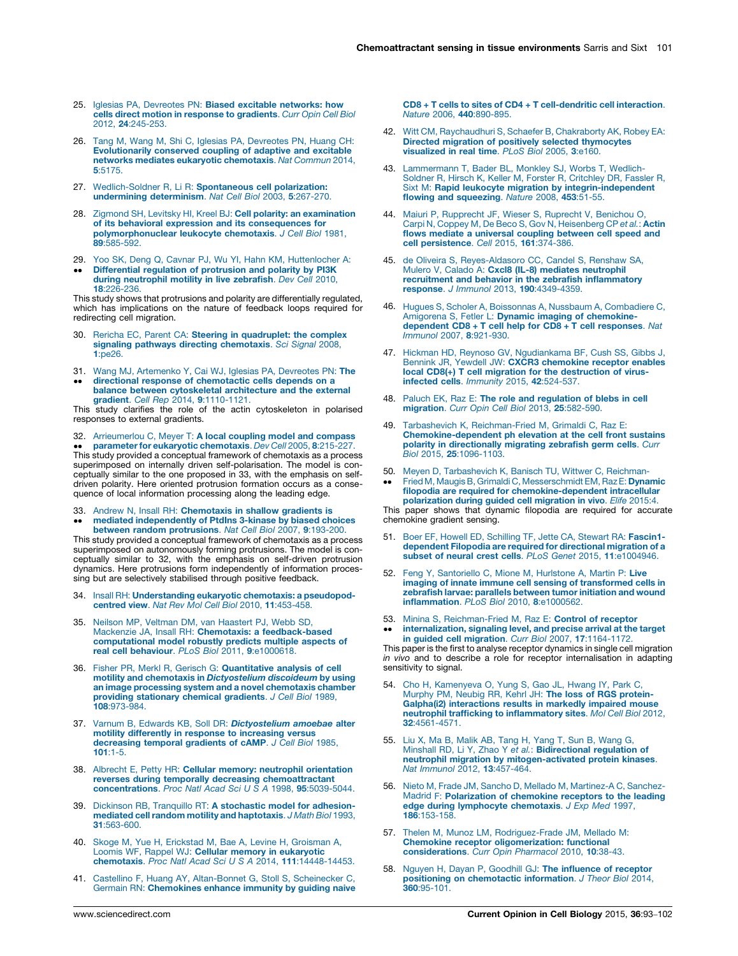- <span id="page-8-0"></span>25. Iglesias PA, Devreotes PN: Biased excitable [networks:](http://refhub.elsevier.com/S0955-0674(15)00106-4/sbref0465) how cells direct motion in response to [gradients](http://refhub.elsevier.com/S0955-0674(15)00106-4/sbref0465). Curr Opin Cell Biol 2012, 24[:245-253.](http://refhub.elsevier.com/S0955-0674(15)00106-4/sbref0465)
- 26. Tang M, Wang M, Shi C, Iglesias PA, [Devreotes](http://refhub.elsevier.com/S0955-0674(15)00106-4/sbref0470) PN, Huang CH: [Evolutionarily](http://refhub.elsevier.com/S0955-0674(15)00106-4/sbref0470) conserved coupling of adaptive and excitable networks mediates eukaryotic [chemotaxis](http://refhub.elsevier.com/S0955-0674(15)00106-4/sbref0470). Nat Commun 2014, 5[:5175.](http://refhub.elsevier.com/S0955-0674(15)00106-4/sbref0470)
- 27. [Wedlich-Soldner](http://refhub.elsevier.com/S0955-0674(15)00106-4/sbref0475) R, Li R: Spontaneous cell polarization: [undermining](http://refhub.elsevier.com/S0955-0674(15)00106-4/sbref0475) determinism. Nat Cell Biol 2003, 5:267-270.
- 28. Zigmond SH, Levitsky HI, Kreel BJ: Cell polarity: an [examination](http://refhub.elsevier.com/S0955-0674(15)00106-4/sbref0480) of its behavioral expression and its [consequences](http://refhub.elsevier.com/S0955-0674(15)00106-4/sbref0480) for [polymorphonuclear](http://refhub.elsevier.com/S0955-0674(15)00106-4/sbref0480) leukocyte chemotaxis. J Cell Biol 1981, 89[:585-592.](http://refhub.elsevier.com/S0955-0674(15)00106-4/sbref0480)
- 29. Yoo SK, Deng Q, Cavnar PJ, Wu YI, Hahn KM, [Huttenlocher](http://refhub.elsevier.com/S0955-0674(15)00106-4/sbref0485) A:  $\bullet$ -[Differential](http://refhub.elsevier.com/S0955-0674(15)00106-4/sbref0485) regulation of protrusion and polarity by PI3K during [neutrophil](http://refhub.elsevier.com/S0955-0674(15)00106-4/sbref0485) motility in live zebrafish. Dev Cell 2010, 18[:226-236.](http://refhub.elsevier.com/S0955-0674(15)00106-4/sbref0485)

This study shows that protrusions and polarity are differentially regulated, which has implications on the nature of feedback loops required for redirecting cell migration.

- 30. Rericha EC, Parent CA: Steering in [quadruplet:](http://refhub.elsevier.com/S0955-0674(15)00106-4/sbref0490) the complex signaling pathways directing [chemotaxis](http://refhub.elsevier.com/S0955-0674(15)00106-4/sbref0490). Sci Signal 2008, 1[:pe26.](http://refhub.elsevier.com/S0955-0674(15)00106-4/sbref0490)
- 31. Wang MJ, [Artemenko](http://refhub.elsevier.com/S0955-0674(15)00106-4/sbref0495) Y, Cai WJ, Iglesias PA, Devreotes PN: The
- $\bullet$ directional response of [chemotactic](http://refhub.elsevier.com/S0955-0674(15)00106-4/sbref0495) cells depends on a balance between cytoskeletal [architecture](http://refhub.elsevier.com/S0955-0674(15)00106-4/sbref0495) and the external gradient. Cell Rep 2014, 9[:1110-1121.](http://refhub.elsevier.com/S0955-0674(15)00106-4/sbref0495)

This study clarifies the role of the actin cytoskeleton in polarised responses to external gradients.

32. [Arrieumerlou](http://refhub.elsevier.com/S0955-0674(15)00106-4/sbref0500) C, Meyer T: A local coupling model and compass •• parameter for eukaryotic chemotaxis. *Dev Cell* 2005, 8:215-227.<br>This study provided a conceptual framework of chemotaxis as a process parameter for eukaryotic chemotaxis. Dev Cell 2005, 8:215-227. superimposed on internally driven self-polarisation. The model is conceptually similar to the one proposed in 33, with the emphasis on selfdriven polarity. Here oriented protrusion formation occurs as a consequence of local information processing along the leading edge.

- 33.
- 33. Andrew N, Insall RH: [Chemotaxis](http://refhub.elsevier.com/S0955-0674(15)00106-4/sbref0505) in shallow gradients is<br>
•• mediated [independently](http://refhub.elsevier.com/S0955-0674(15)00106-4/sbref0505) of PtdIns 3-kinase by biased choices<br>
between random [protrusions](http://refhub.elsevier.com/S0955-0674(15)00106-4/sbref0505). Nat Cell Biol 2007, 9:193-200.

This study provided a conceptual framework of chemotaxis as a process superimposed on autonomously forming protrusions. The model is conceptually similar to 32, with the emphasis on self-driven protrusion dynamics. Here protrusions form independently of information processing but are selectively stabilised through positive feedback.

- 34. Insall RH: [Understanding](http://refhub.elsevier.com/S0955-0674(15)00106-4/sbref0510) eukaryotic chemotaxis: a pseudopodcentred view. Nat Rev Mol Cell Biol 2010, 11[:453-458.](http://refhub.elsevier.com/S0955-0674(15)00106-4/sbref0510)
- 35. Neilson MP, Veltman DM, van [Haastert](http://refhub.elsevier.com/S0955-0674(15)00106-4/sbref0515) PJ, Webb SD, Mackenzie JA, Insall RH: Chemotaxis: a [feedback-based](http://refhub.elsevier.com/S0955-0674(15)00106-4/sbref0515) [computational](http://refhub.elsevier.com/S0955-0674(15)00106-4/sbref0515) model robustly predicts multiple aspects of real cell behaviour. PLoS Biol 2011, 9[:e1000618.](http://refhub.elsevier.com/S0955-0674(15)00106-4/sbref0515)
- 36. Fisher PR, Merkl R, Gerisch G: [Quantitative](http://refhub.elsevier.com/S0955-0674(15)00106-4/sbref0520) analysis of cell motility and chemotaxis in [Dictyostelium](http://refhub.elsevier.com/S0955-0674(15)00106-4/sbref0520) discoideum by using an image processing system and a novel [chemotaxis](http://refhub.elsevier.com/S0955-0674(15)00106-4/sbref0520) chamber providing [stationary](http://refhub.elsevier.com/S0955-0674(15)00106-4/sbref0520) chemical gradients. J Cell Biol 1989, 108[:973-984.](http://refhub.elsevier.com/S0955-0674(15)00106-4/sbref0520)
- 37. Varnum B, Edwards KB, Soll DR: [Dictyostelium](http://refhub.elsevier.com/S0955-0674(15)00106-4/sbref0525) amoebae alter motility differently in response to [increasing](http://refhub.elsevier.com/S0955-0674(15)00106-4/sbref0525) versus<br>[decreasing](http://refhub.elsevier.com/S0955-0674(15)00106-4/sbref0525) temporal gradients of cAMP. J Cell Biol 1985, 101[:1-5.](http://refhub.elsevier.com/S0955-0674(15)00106-4/sbref0525)
- 38. Albrecht E, Petty HR: Cellular memory: neutrophil [orientation](http://refhub.elsevier.com/S0955-0674(15)00106-4/sbref0530) reverses during temporally decreasing [chemoattractant](http://refhub.elsevier.com/S0955-0674(15)00106-4/sbref0530) [concentrations](http://refhub.elsevier.com/S0955-0674(15)00106-4/sbref0530). Proc Natl Acad Sci U S A 1998, 95:5039-5044.
- 39. Dickinson RB, Tranquillo RT: A [stochastic](http://refhub.elsevier.com/S0955-0674(15)00106-4/sbref0535) model for adhesionmediated cell random motility and [haptotaxis](http://refhub.elsevier.com/S0955-0674(15)00106-4/sbref0535). J Math Biol 1993, 31[:563-600.](http://refhub.elsevier.com/S0955-0674(15)00106-4/sbref0535)
- 40. Skoge M, Yue H, Erickstad M, Bae A, Levine H, [Groisman](http://refhub.elsevier.com/S0955-0674(15)00106-4/sbref0540) A, Loomis WF, Rappel WJ: Cellular memory in [eukaryotic](http://refhub.elsevier.com/S0955-0674(15)00106-4/sbref0540) chemotaxis. Proc Natl Acad Sci U S A 2014, 111[:14448-14453.](http://refhub.elsevier.com/S0955-0674(15)00106-4/sbref0540)
- Castellino F, Huang AY, [Altan-Bonnet](http://refhub.elsevier.com/S0955-0674(15)00106-4/sbref0545) G, Stoll S, Scheinecker C Germain RN: [Chemokines](http://refhub.elsevier.com/S0955-0674(15)00106-4/sbref0545) enhance immunity by guiding naive

[CD8](http://refhub.elsevier.com/S0955-0674(15)00106-4/sbref0545) + T cells to [sites](http://refhub.elsevier.com/S0955-0674(15)00106-4/sbref0545) of CD4 + T [cell-dendritic](http://refhub.elsevier.com/S0955-0674(15)00106-4/sbref0545) cell interaction. Nature 2006, 440[:890-895.](http://refhub.elsevier.com/S0955-0674(15)00106-4/sbref0545)

- 42. Witt CM, [Raychaudhuri](http://refhub.elsevier.com/S0955-0674(15)00106-4/sbref0550) S, Schaefer B, Chakraborty AK, Robey EA: Directed migration of positively selected [thymocytes](http://refhub.elsevier.com/S0955-0674(15)00106-4/sbref0550) [visualized](http://refhub.elsevier.com/S0955-0674(15)00106-4/sbref0550) in real time. PLoS Biol 2005, 3:e160.
- 43. [Lammermann](http://refhub.elsevier.com/S0955-0674(15)00106-4/sbref0555) T, Bader BL, Monkley SJ, Worbs T, Wedlich-Soldner R, Hirsch K, Keller M, Forster R, [Critchley](http://refhub.elsevier.com/S0955-0674(15)00106-4/sbref0555) DR, Fassler R, Sixt M: Rapid leukocyte migration by [integrin-independent](http://refhub.elsevier.com/S0955-0674(15)00106-4/sbref0555) flowing and [squeezing](http://refhub.elsevier.com/S0955-0674(15)00106-4/sbref0555). Nature 2008, 453:51-55.
- 44. Maiuri P, [Rupprecht](http://refhub.elsevier.com/S0955-0674(15)00106-4/sbref0560) JF, Wieser S, Ruprecht V, Benichou O, Carpi N, Coppey M, De Beco S, Gov N, [Heisenberg](http://refhub.elsevier.com/S0955-0674(15)00106-4/sbref0560) CP e*t al.*: **Actin**<br>**flows mediate a [universal](http://refhub.elsevier.com/S0955-0674(15)00106-4/sbref0560) coupling between cell speed and** cell [persistence](http://refhub.elsevier.com/S0955-0674(15)00106-4/sbref0560). Cell 2015, 161:374-386.
- 45. de Oliveira S, [Reyes-Aldasoro](http://refhub.elsevier.com/S0955-0674(15)00106-4/sbref0565) CC, Candel S, Renshaw SA, Mulero V, Calado A: Cxcl8 (IL-8) mediates [neutrophil](http://refhub.elsevier.com/S0955-0674(15)00106-4/sbref0565) recruitment and behavior in the zebrafish [inflammatory](http://refhub.elsevier.com/S0955-0674(15)00106-4/sbref0565) response. J Immunol 2013, 190[:4349-4359.](http://refhub.elsevier.com/S0955-0674(15)00106-4/sbref0565)
- 46. Hugues S, Scholer A, Boissonnas A, Nussbaum A, [Combadiere](http://refhub.elsevier.com/S0955-0674(15)00106-4/sbref0570) C, Amigorena S, Fetler L: Dynamic imaging of chemokine-<br>[dependent](http://refhub.elsevier.com/S0955-0674(15)00106-4/sbref0570) CD8 + T cell help for CD8 + T cell responses. Nat Immunol 2007, 8[:921-930.](http://refhub.elsevier.com/S0955-0674(15)00106-4/sbref0570)
- 47. Hickman HD, Reynoso GV, [Ngudiankama](http://refhub.elsevier.com/S0955-0674(15)00106-4/sbref0575) BF, Cush SS, Gibbs J, Bennink JR, Yewdell JW: CXCR3 [chemokine](http://refhub.elsevier.com/S0955-0674(15)00106-4/sbref0575) receptor enables local CD8(+) T cell migration for the [destruction](http://refhub.elsevier.com/S0955-0674(15)00106-4/sbref0575) of virusinfected cells. Immunity 2015, 42[:524-537.](http://refhub.elsevier.com/S0955-0674(15)00106-4/sbref0575)
- 48. Paluch EK, Raz E: The role and [regulation](http://refhub.elsevier.com/S0955-0674(15)00106-4/sbref0580) of blebs in cell [migration](http://refhub.elsevier.com/S0955-0674(15)00106-4/sbref0580). Curr Opin Cell Biol 2013, 25:582-590.
- 49. Tarbashevich K, [Reichman-Fried](http://refhub.elsevier.com/S0955-0674(15)00106-4/sbref0585) M, Grimaldi C, Raz E: [Chemokine-dependent](http://refhub.elsevier.com/S0955-0674(15)00106-4/sbref0585) ph elevation at the cell front sustains polarity in [directionally](http://refhub.elsevier.com/S0955-0674(15)00106-4/sbref0585) migrating zebrafish germ cells. Curr Biol 2015, 25[:1096-1103.](http://refhub.elsevier.com/S0955-0674(15)00106-4/sbref0585)
- 50. Meyen D, [Tarbashevich](http://refhub.elsevier.com/S0955-0674(15)00106-4/sbref0590) K, Banisch TU, Wittwer C, Reichman-
- --Fried M, Maugis B, Grimaldi C, [Messerschmidt](http://refhub.elsevier.com/S0955-0674(15)00106-4/sbref0590) EM, Raz E: Dynamic filopodia are required for [chemokine-dependent](http://refhub.elsevier.com/S0955-0674(15)00106-4/sbref0590) intracellular [polarization](http://refhub.elsevier.com/S0955-0674(15)00106-4/sbref0590) during guided cell migration in vivo. Elife 2015:4.

This paper shows that dynamic filopodia are required for accurate chemokine gradient sensing.

- 51. Boer EF, Howell ED, Schilling TF, Jette CA, Stewart RA: [Fascin1](http://refhub.elsevier.com/S0955-0674(15)00106-4/sbref0595) dependent Filopodia are required for [directional](http://refhub.elsevier.com/S0955-0674(15)00106-4/sbref0595) migration of a subset of neural crest cells. PLoS Genet 2015, 11[:e1004946.](http://refhub.elsevier.com/S0955-0674(15)00106-4/sbref0595)
- 52. Feng Y, [Santoriello](http://refhub.elsevier.com/S0955-0674(15)00106-4/sbref0600) C, Mione M, Hurlstone A, Martin P: Live imaging of innate immune cell sensing of [transformed](http://refhub.elsevier.com/S0955-0674(15)00106-4/sbref0600) cells in [zebrafish](http://refhub.elsevier.com/S0955-0674(15)00106-4/sbref0600) larvae: parallels between tumor initiation and wound [inflammation](http://refhub.elsevier.com/S0955-0674(15)00106-4/sbref0600). PLoS Biol 2010, 8:e1000562.
- 53. Minina S, [Reichman-Fried](http://refhub.elsevier.com/S0955-0674(15)00106-4/sbref0605) M, Raz E: Control of receptor -[internalization,](http://refhub.elsevier.com/S0955-0674(15)00106-4/sbref0605) signaling level, and precise arrival at the target in guided cell migration. Curr Biol 2007, 17:1164-1172

This paper is the first to analyse receptor dynamics in single cell migration in vivo and to describe a role for receptor internalisation in adapting sensitivity to signal.

- 54. Cho H, [Kamenyeva](http://refhub.elsevier.com/S0955-0674(15)00106-4/sbref0610) O, Yung S, Gao JL, Hwang IY, Park C, Murphy PM, Neubig RR, Kehrl JH: The loss of RGS [protein-](http://refhub.elsevier.com/S0955-0674(15)00106-4/sbref0610)Galpha(i2) [interactions](http://refhub.elsevier.com/S0955-0674(15)00106-4/sbref0610) results in markedly impaired mouse neutrophil trafficking to [inflammatory](http://refhub.elsevier.com/S0955-0674(15)00106-4/sbref0610) sites. Mol Cell Biol 2012, 32[:4561-4571.](http://refhub.elsevier.com/S0955-0674(15)00106-4/sbref0610)
- 55. Liu X, Ma B, Malik AB, Tang H, Yang T, Sun B, [Wang](http://refhub.elsevier.com/S0955-0674(15)00106-4/sbref0615) G,<br>Minshall RD, Li Y, Zhao Y *et al.*: [Bidirectional](http://refhub.elsevier.com/S0955-0674(15)00106-4/sbref0615) regulation of neutrophil migration by [mitogen-activated](http://refhub.elsevier.com/S0955-0674(15)00106-4/sbref0615) protein kinases. Nat Immunol 2012, 13[:457-464.](http://refhub.elsevier.com/S0955-0674(15)00106-4/sbref0615)
- 56. Nieto M, Frade JM, Sancho D, Mellado M, [Martinez-A](http://refhub.elsevier.com/S0955-0674(15)00106-4/sbref0620) C, Sanchez-Madrid F: [Polarization](http://refhub.elsevier.com/S0955-0674(15)00106-4/sbref0620) of chemokine receptors to the leading edge during lymphocyte [chemotaxis](http://refhub.elsevier.com/S0955-0674(15)00106-4/sbref0620). J Exp Med 1997, 186[:153-158.](http://refhub.elsevier.com/S0955-0674(15)00106-4/sbref0620)
- 57. Thelen M, Munoz LM, [Rodriguez-Frade](http://refhub.elsevier.com/S0955-0674(15)00106-4/sbref0625) JM, Mellado M: Chemokine receptor [oligomerization:](http://refhub.elsevier.com/S0955-0674(15)00106-4/sbref0625) functional [considerations](http://refhub.elsevier.com/S0955-0674(15)00106-4/sbref0625). Curr Opin Pharmacol 2010, 10:38-43.
- 58. Nguyen H, Dayan P, Goodhill GJ: The [influence](http://refhub.elsevier.com/S0955-0674(15)00106-4/sbref0630) of receptor positioning on [chemotactic](http://refhub.elsevier.com/S0955-0674(15)00106-4/sbref0630) information. J Theor Biol 2014, 360[:95-101.](http://refhub.elsevier.com/S0955-0674(15)00106-4/sbref0630)